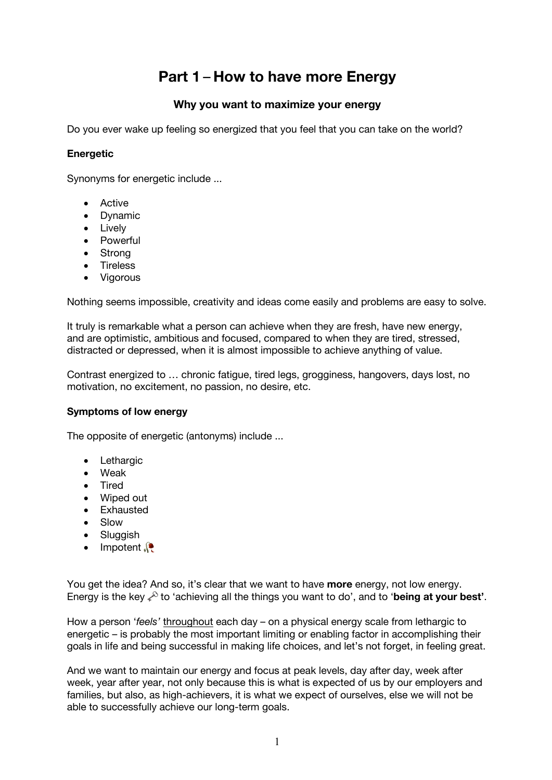# **Part 1** – **How to have more Energy**

# **Why you want to maximize your energy**

Do you ever wake up feeling so energized that you feel that you can take on the world?

#### **Energetic**

Synonyms for energetic include ...

- Active
- Dynamic
- Lively
- Powerful
- Strong
- Tireless
- Vigorous

Nothing seems impossible, creativity and ideas come easily and problems are easy to solve.

It truly is remarkable what a person can achieve when they are fresh, have new energy, and are optimistic, ambitious and focused, compared to when they are tired, stressed, distracted or depressed, when it is almost impossible to achieve anything of value.

Contrast energized to … chronic fatigue, tired legs, grogginess, hangovers, days lost, no motivation, no excitement, no passion, no desire, etc.

#### **Symptoms of low energy**

The opposite of energetic (antonyms) include ...

- Lethargic
- Weak
- Tired
- Wiped out
- Exhausted
- Slow
- Sluggish
- Impotent

You get the idea? And so, it's clear that we want to have **more** energy, not low energy. Energy is the key  $\ell^0$  to 'achieving all the things you want to do', and to '**being at your best'**.

How a person 'feels' throughout each day – on a physical energy scale from lethargic to energetic – is probably the most important limiting or enabling factor in accomplishing their goals in life and being successful in making life choices, and let's not forget, in feeling great.

And we want to maintain our energy and focus at peak levels, day after day, week after week, year after year, not only because this is what is expected of us by our employers and families, but also, as high-achievers, it is what we expect of ourselves, else we will not be able to successfully achieve our long-term goals.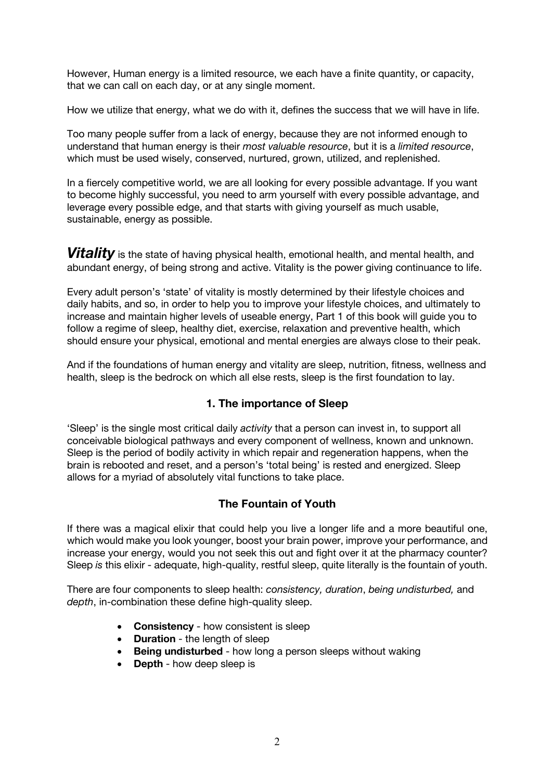However, Human energy is a limited resource, we each have a finite quantity, or capacity, that we can call on each day, or at any single moment.

How we utilize that energy, what we do with it, defines the success that we will have in life.

Too many people suffer from a lack of energy, because they are not informed enough to understand that human energy is their *most valuable resource*, but it is a *limited resource*, which must be used wisely, conserved, nurtured, grown, utilized, and replenished.

In a fiercely competitive world, we are all looking for every possible advantage. If you want to become highly successful, you need to arm yourself with every possible advantage, and leverage every possible edge, and that starts with giving yourself as much usable, sustainable, energy as possible.

**Vitality** is the state of having physical health, emotional health, and mental health, and abundant energy, of being strong and active. Vitality is the power giving continuance to life.

Every adult person's 'state' of vitality is mostly determined by their lifestyle choices and daily habits, and so, in order to help you to improve your lifestyle choices, and ultimately to increase and maintain higher levels of useable energy, Part 1 of this book will guide you to follow a regime of sleep, healthy diet, exercise, relaxation and preventive health, which should ensure your physical, emotional and mental energies are always close to their peak.

And if the foundations of human energy and vitality are sleep, nutrition, fitness, wellness and health, sleep is the bedrock on which all else rests, sleep is the first foundation to lay.

#### **1. The importance of Sleep**

'Sleep' is the single most critical daily *activity* that a person can invest in, to support all conceivable biological pathways and every component of wellness, known and unknown. Sleep is the period of bodily activity in which repair and regeneration happens, when the brain is rebooted and reset, and a person's 'total being' is rested and energized. Sleep allows for a myriad of absolutely vital functions to take place.

#### **The Fountain of Youth**

If there was a magical elixir that could help you live a longer life and a more beautiful one, which would make you look younger, boost your brain power, improve your performance, and increase your energy, would you not seek this out and fight over it at the pharmacy counter? Sleep *is* this elixir - adequate, high-quality, restful sleep, quite literally is the fountain of youth.

There are four components to sleep health: *consistency, duration*, *being undisturbed,* and *depth*, in-combination these define high-quality sleep.

- **Consistency** how consistent is sleep
- **Duration** the length of sleep
- **Being undisturbed** how long a person sleeps without waking
- **Depth** how deep sleep is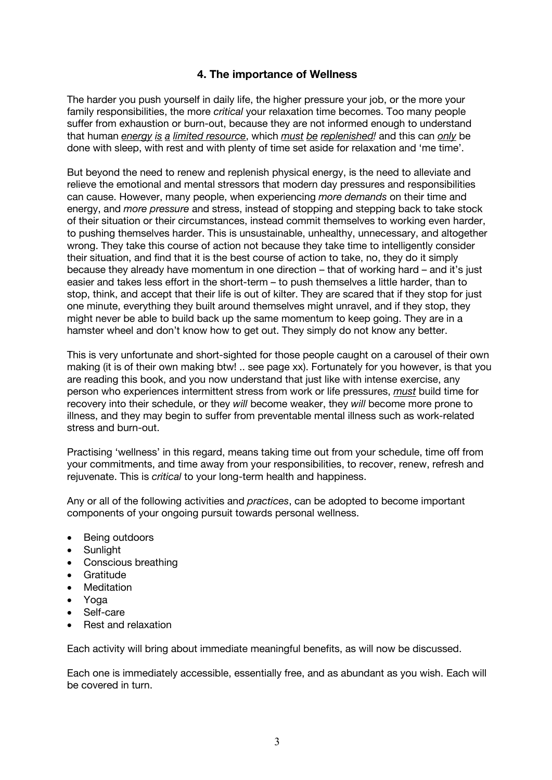## **4. The importance of Wellness**

The harder you push yourself in daily life, the higher pressure your job, or the more your family responsibilities, the more *critical* your relaxation time becomes. Too many people suffer from exhaustion or burn-out, because they are not informed enough to understand that human *energy is a limited resource*, which *must be replenished!* and this can *only* be done with sleep, with rest and with plenty of time set aside for relaxation and 'me time'.

But beyond the need to renew and replenish physical energy, is the need to alleviate and relieve the emotional and mental stressors that modern day pressures and responsibilities can cause. However, many people, when experiencing *more demands* on their time and energy, and *more pressure* and stress, instead of stopping and stepping back to take stock of their situation or their circumstances, instead commit themselves to working even harder, to pushing themselves harder. This is unsustainable, unhealthy, unnecessary, and altogether wrong. They take this course of action not because they take time to intelligently consider their situation, and find that it is the best course of action to take, no, they do it simply because they already have momentum in one direction – that of working hard – and it's just easier and takes less effort in the short-term – to push themselves a little harder, than to stop, think, and accept that their life is out of kilter. They are scared that if they stop for just one minute, everything they built around themselves might unravel, and if they stop, they might never be able to build back up the same momentum to keep going. They are in a hamster wheel and don't know how to get out. They simply do not know any better.

This is very unfortunate and short-sighted for those people caught on a carousel of their own making (it is of their own making btw! .. see page xx). Fortunately for you however, is that you are reading this book, and you now understand that just like with intense exercise, any person who experiences intermittent stress from work or life pressures, *must* build time for recovery into their schedule, or they *will* become weaker, they *will* become more prone to illness, and they may begin to suffer from preventable mental illness such as work-related stress and burn-out.

Practising 'wellness' in this regard, means taking time out from your schedule, time off from your commitments, and time away from your responsibilities, to recover, renew, refresh and rejuvenate. This is *critical* to your long-term health and happiness.

Any or all of the following activities and *practices*, can be adopted to become important components of your ongoing pursuit towards personal wellness.

- Being outdoors
- Sunlight
- Conscious breathing
- Gratitude
- Meditation
- Yoga
- Self-care
- Rest and relaxation

Each activity will bring about immediate meaningful benefits, as will now be discussed.

Each one is immediately accessible, essentially free, and as abundant as you wish. Each will be covered in turn.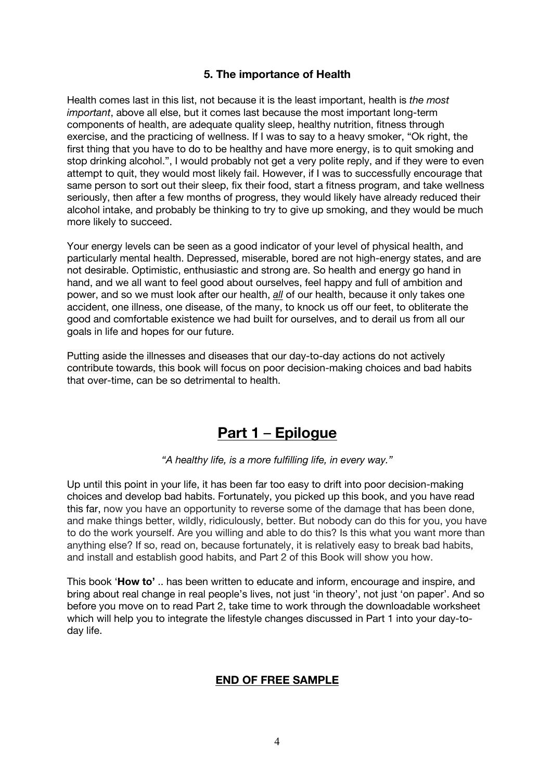## **5. The importance of Health**

Health comes last in this list, not because it is the least important, health is *the most important*, above all else, but it comes last because the most important long-term components of health, are adequate quality sleep, healthy nutrition, fitness through exercise, and the practicing of wellness. If I was to say to a heavy smoker, "Ok right, the first thing that you have to do to be healthy and have more energy, is to quit smoking and stop drinking alcohol.", I would probably not get a very polite reply, and if they were to even attempt to quit, they would most likely fail. However, if I was to successfully encourage that same person to sort out their sleep, fix their food, start a fitness program, and take wellness seriously, then after a few months of progress, they would likely have already reduced their alcohol intake, and probably be thinking to try to give up smoking, and they would be much more likely to succeed.

Your energy levels can be seen as a good indicator of your level of physical health, and particularly mental health. Depressed, miserable, bored are not high-energy states, and are not desirable. Optimistic, enthusiastic and strong are. So health and energy go hand in hand, and we all want to feel good about ourselves, feel happy and full of ambition and power, and so we must look after our health, *all* of our health, because it only takes one accident, one illness, one disease, of the many, to knock us off our feet, to obliterate the good and comfortable existence we had built for ourselves, and to derail us from all our goals in life and hopes for our future.

Putting aside the illnesses and diseases that our day-to-day actions do not actively contribute towards, this book will focus on poor decision-making choices and bad habits that over-time, can be so detrimental to health.

# **Part 1** – **Epilogue**

*"A healthy life, is a more fulfilling life, in every way."*

Up until this point in your life, it has been far too easy to drift into poor decision-making choices and develop bad habits. Fortunately, you picked up this book, and you have read this far, now you have an opportunity to reverse some of the damage that has been done, and make things better, wildly, ridiculously, better. But nobody can do this for you, you have to do the work yourself. Are you willing and able to do this? Is this what you want more than anything else? If so, read on, because fortunately, it is relatively easy to break bad habits, and install and establish good habits, and Part 2 of this Book will show you how.

This book '**How to'** .. has been written to educate and inform, encourage and inspire, and bring about real change in real people's lives, not just 'in theory', not just 'on paper'. And so before you move on to read Part 2, take time to work through the downloadable worksheet which will help you to integrate the lifestyle changes discussed in Part 1 into your day-today life.

#### **END OF FREE SAMPLE**